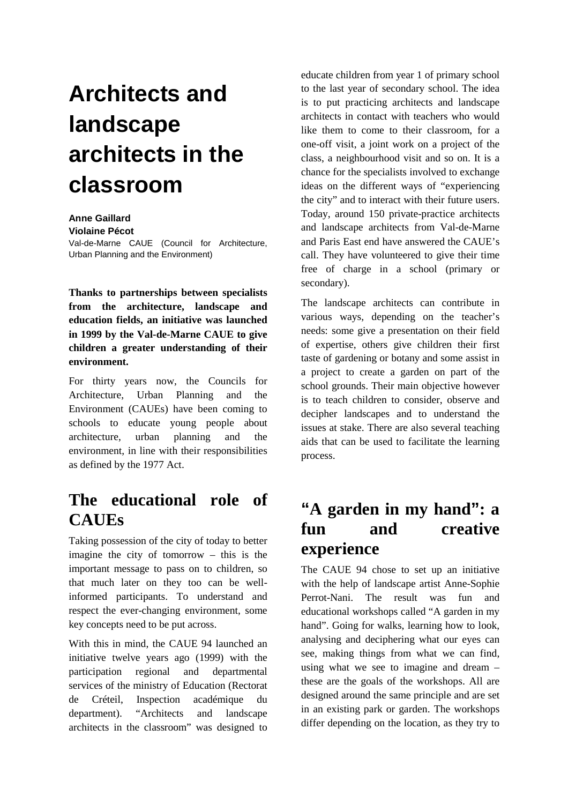## **Architects and landscape architects in the classroom**

## **Anne Gaillard**

**Violaine Pécot** 

Val-de-Marne CAUE (Council for Architecture, Urban Planning and the Environment)

**Thanks to partnerships between specialists from the architecture, landscape and education fields, an initiative was launched in 1999 by the Val-de-Marne CAUE to give children a greater understanding of their environment.** 

For thirty years now, the Councils for Architecture, Urban Planning and the Environment (CAUEs) have been coming to schools to educate young people about architecture, urban planning and the environment, in line with their responsibilities as defined by the 1977 Act.

## **The educational role of CAUEs**

Taking possession of the city of today to better imagine the city of tomorrow – this is the important message to pass on to children, so that much later on they too can be wellinformed participants. To understand and respect the ever-changing environment, some key concepts need to be put across.

With this in mind, the CAUE 94 launched an initiative twelve years ago (1999) with the participation regional and departmental services of the ministry of Education (Rectorat de Créteil, Inspection académique du department). "Architects and landscape architects in the classroom" was designed to educate children from year 1 of primary school to the last year of secondary school. The idea is to put practicing architects and landscape architects in contact with teachers who would like them to come to their classroom, for a one-off visit, a joint work on a project of the class, a neighbourhood visit and so on. It is a chance for the specialists involved to exchange ideas on the different ways of "experiencing the city" and to interact with their future users. Today, around 150 private-practice architects and landscape architects from Val-de-Marne and Paris East end have answered the CAUE's call. They have volunteered to give their time free of charge in a school (primary or secondary).

The landscape architects can contribute in various ways, depending on the teacher's needs: some give a presentation on their field of expertise, others give children their first taste of gardening or botany and some assist in a project to create a garden on part of the school grounds. Their main objective however is to teach children to consider, observe and decipher landscapes and to understand the issues at stake. There are also several teaching aids that can be used to facilitate the learning process.

## **"A garden in my hand": a fun and creative experience**

The CAUE 94 chose to set up an initiative with the help of landscape artist Anne-Sophie Perrot-Nani. The result was fun and educational workshops called "A garden in my hand". Going for walks, learning how to look, analysing and deciphering what our eyes can see, making things from what we can find, using what we see to imagine and dream – these are the goals of the workshops. All are designed around the same principle and are set in an existing park or garden. The workshops differ depending on the location, as they try to